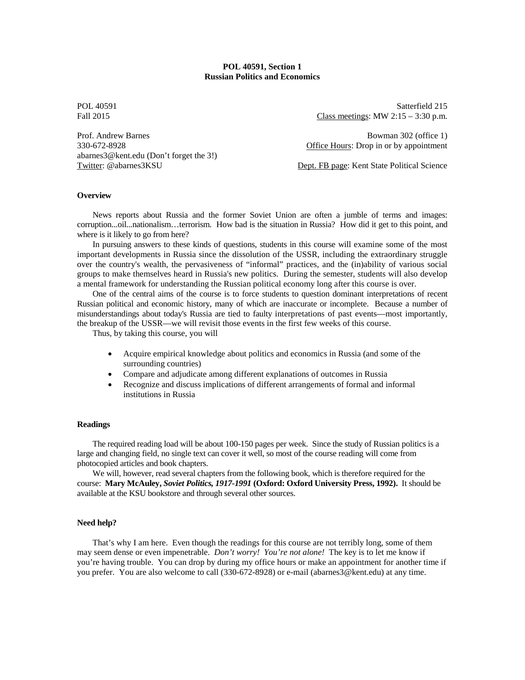## **POL 40591, Section 1 Russian Politics and Economics**

abarnes3@kent.edu (Don't forget the 3!)

POL 40591 Satterfield 215 Fall 2015 **Class meetings: MW 2:15 – 3:30 p.m.** 

Prof. Andrew Barnes Bowman 302 (office 1) 330-672-8928 Office Hours: Drop in or by appointment

Twitter: @abarnes3KSU Dept. FB page: Kent State Political Science

### **Overview**

News reports about Russia and the former Soviet Union are often a jumble of terms and images: corruption...oil...nationalism…terrorism. How bad is the situation in Russia? How did it get to this point, and where is it likely to go from here?

In pursuing answers to these kinds of questions, students in this course will examine some of the most important developments in Russia since the dissolution of the USSR, including the extraordinary struggle over the country's wealth, the pervasiveness of "informal" practices, and the (in)ability of various social groups to make themselves heard in Russia's new politics. During the semester, students will also develop a mental framework for understanding the Russian political economy long after this course is over.

One of the central aims of the course is to force students to question dominant interpretations of recent Russian political and economic history, many of which are inaccurate or incomplete. Because a number of misunderstandings about today's Russia are tied to faulty interpretations of past events—most importantly, the breakup of the USSR—we will revisit those events in the first few weeks of this course.

Thus, by taking this course, you will

- Acquire empirical knowledge about politics and economics in Russia (and some of the surrounding countries)
- Compare and adjudicate among different explanations of outcomes in Russia
- Recognize and discuss implications of different arrangements of formal and informal institutions in Russia

## **Readings**

The required reading load will be about 100-150 pages per week. Since the study of Russian politics is a large and changing field, no single text can cover it well, so most of the course reading will come from photocopied articles and book chapters.

We will, however, read several chapters from the following book, which is therefore required for the course: **Mary McAuley,** *Soviet Politics, 1917-1991* **(Oxford: Oxford University Press, 1992).** It should be available at the KSU bookstore and through several other sources.

### **Need help?**

That's why I am here. Even though the readings for this course are not terribly long, some of them may seem dense or even impenetrable. *Don't worry! You're not alone!* The key is to let me know if you're having trouble. You can drop by during my office hours or make an appointment for another time if you prefer. You are also welcome to call (330-672-8928) or e-mail (abarnes3@kent.edu) at any time.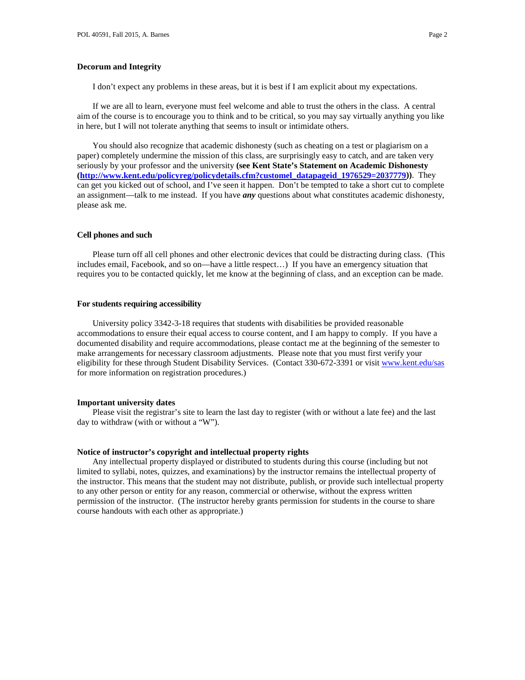I don't expect any problems in these areas, but it is best if I am explicit about my expectations.

If we are all to learn, everyone must feel welcome and able to trust the others in the class. A central aim of the course is to encourage you to think and to be critical, so you may say virtually anything you like in here, but I will not tolerate anything that seems to insult or intimidate others.

You should also recognize that academic dishonesty (such as cheating on a test or plagiarism on a paper) completely undermine the mission of this class, are surprisingly easy to catch, and are taken very seriously by your professor and the university **(see Kent State's Statement on Academic Dishonesty [\(http://www.kent.edu/policyreg/policydetails.cfm?customel\\_datapageid\\_1976529=2037779\)](http://www.kent.edu/policyreg/policydetails.cfm?customel_datapageid_1976529=2037779))**. They can get you kicked out of school, and I've seen it happen. Don't be tempted to take a short cut to complete an assignment—talk to me instead. If you have *any* questions about what constitutes academic dishonesty, please ask me.

### **Cell phones and such**

Please turn off all cell phones and other electronic devices that could be distracting during class. (This includes email, Facebook, and so on—have a little respect…) If you have an emergency situation that requires you to be contacted quickly, let me know at the beginning of class, and an exception can be made.

### **For students requiring accessibility**

University policy 3342-3-18 requires that students with disabilities be provided reasonable accommodations to ensure their equal access to course content, and I am happy to comply. If you have a documented disability and require accommodations, please contact me at the beginning of the semester to make arrangements for necessary classroom adjustments. Please note that you must first verify your eligibility for these through Student Disability Services. (Contact 330-672-3391 or visit [www.kent.edu/sas](http://www.kent.edu/sas) for more information on registration procedures.)

### **Important university dates**

Please visit the registrar's site to learn the last day to register (with or without a late fee) and the last day to withdraw (with or without a "W").

#### **Notice of instructor's copyright and intellectual property rights**

Any intellectual property displayed or distributed to students during this course (including but not limited to syllabi, notes, quizzes, and examinations) by the instructor remains the intellectual property of the instructor. This means that the student may not distribute, publish, or provide such intellectual property to any other person or entity for any reason, commercial or otherwise, without the express written permission of the instructor. (The instructor hereby grants permission for students in the course to share course handouts with each other as appropriate.)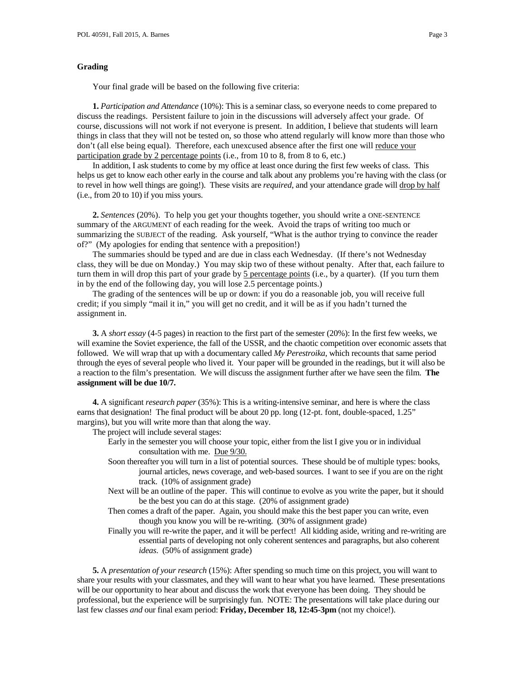### **Grading**

Your final grade will be based on the following five criteria:

**1.** *Participation and Attendance* (10%): This is a seminar class, so everyone needs to come prepared to discuss the readings. Persistent failure to join in the discussions will adversely affect your grade. Of course, discussions will not work if not everyone is present. In addition, I believe that students will learn things in class that they will not be tested on, so those who attend regularly will know more than those who don't (all else being equal). Therefore, each unexcused absence after the first one will reduce your participation grade by 2 percentage points (i.e., from 10 to 8, from 8 to 6, etc.)

In addition, I ask students to come by my office at least once during the first few weeks of class. This helps us get to know each other early in the course and talk about any problems you're having with the class (or to revel in how well things are going!). These visits are *required*, and your attendance grade will drop by half (i.e., from 20 to 10) if you miss yours.

**2.** *Sentences* (20%). To help you get your thoughts together, you should write a ONE-SENTENCE summary of the ARGUMENT of each reading for the week. Avoid the traps of writing too much or summarizing the SUBJECT of the reading. Ask yourself, "What is the author trying to convince the reader of?" (My apologies for ending that sentence with a preposition!)

The summaries should be typed and are due in class each Wednesday. (If there's not Wednesday class, they will be due on Monday.) You may skip two of these without penalty. After that, each failure to turn them in will drop this part of your grade by  $\frac{5}{2}$  percentage points (i.e., by a quarter). (If you turn them in by the end of the following day, you will lose 2.5 percentage points.)

The grading of the sentences will be up or down: if you do a reasonable job, you will receive full credit; if you simply "mail it in," you will get no credit, and it will be as if you hadn't turned the assignment in.

**3.** A *short essay* (4-5 pages) in reaction to the first part of the semester (20%): In the first few weeks, we will examine the Soviet experience, the fall of the USSR, and the chaotic competition over economic assets that followed. We will wrap that up with a documentary called *My Perestroika*, which recounts that same period through the eyes of several people who lived it. Your paper will be grounded in the readings, but it will also be a reaction to the film's presentation. We will discuss the assignment further after we have seen the film. **The assignment will be due 10/7.**

**4.** A significant *research paper* (35%): This is a writing-intensive seminar, and here is where the class earns that designation! The final product will be about 20 pp. long (12-pt. font, double-spaced, 1.25" margins), but you will write more than that along the way.

The project will include several stages:

- Early in the semester you will choose your topic, either from the list I give you or in individual consultation with me. Due 9/30.
- Soon thereafter you will turn in a list of potential sources. These should be of multiple types: books, journal articles, news coverage, and web-based sources. I want to see if you are on the right track. (10% of assignment grade)
- Next will be an outline of the paper. This will continue to evolve as you write the paper, but it should be the best you can do at this stage. (20% of assignment grade)
- Then comes a draft of the paper. Again, you should make this the best paper you can write, even though you know you will be re-writing. (30% of assignment grade)
- Finally you will re-write the paper, and it will be perfect! All kidding aside, writing and re-writing are essential parts of developing not only coherent sentences and paragraphs, but also coherent *ideas*. (50% of assignment grade)

**5.** A *presentation of your research* (15%): After spending so much time on this project, you will want to share your results with your classmates, and they will want to hear what you have learned. These presentations will be our opportunity to hear about and discuss the work that everyone has been doing. They should be professional, but the experience will be surprisingly fun. NOTE: The presentations will take place during our last few classes *and* our final exam period: **Friday, December 18, 12:45-3pm** (not my choice!).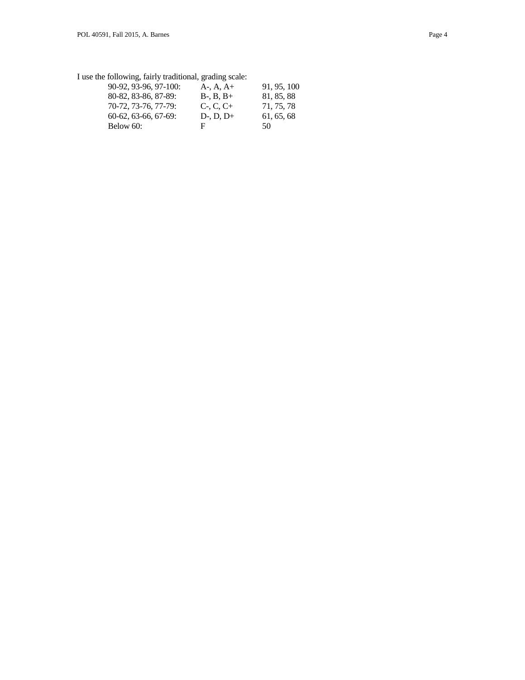I use the following, fairly traditional, grading scale:

| $A-, A, A+$ | 91, 95, 100 |
|-------------|-------------|
| $B-, B, B+$ | 81, 85, 88  |
| $C- C. C+$  | 71, 75, 78  |
| $D-, D, D+$ | 61, 65, 68  |
| н           | 50          |
|             |             |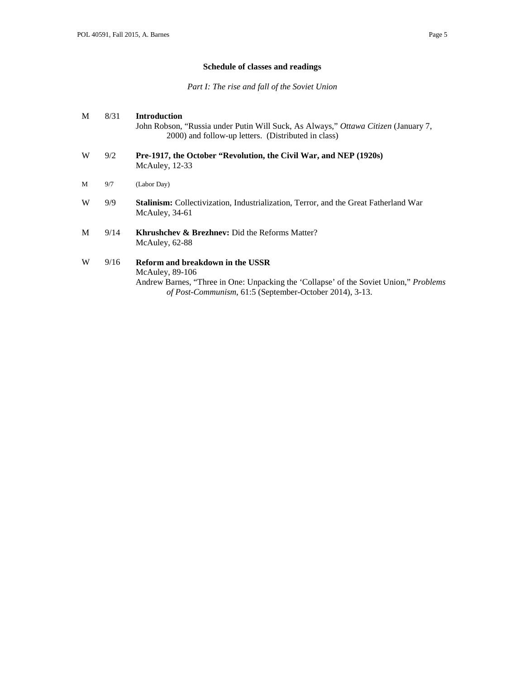# **Schedule of classes and readings**

*Part I: The rise and fall of the Soviet Union*

| M | 8/31 | <b>Introduction</b><br>John Robson, "Russia under Putin Will Suck, As Always," Ottawa Citizen (January 7,<br>2000) and follow-up letters. (Distributed in class)                                          |
|---|------|-----------------------------------------------------------------------------------------------------------------------------------------------------------------------------------------------------------|
| W | 9/2  | Pre-1917, the October "Revolution, the Civil War, and NEP (1920s)<br>McAuley, $12-33$                                                                                                                     |
| M | 9/7  | (Labor Day)                                                                                                                                                                                               |
| W | 9/9  | <b>Stalinism:</b> Collectivization, Industrialization, Terror, and the Great Fatherland War<br>McAuley, 34-61                                                                                             |
| M | 9/14 | <b>Khrushchev &amp; Brezhnev:</b> Did the Reforms Matter?<br>McAuley, 62-88                                                                                                                               |
| W | 9/16 | Reform and breakdown in the USSR<br>McAuley, $89-106$<br>Andrew Barnes, "Three in One: Unpacking the 'Collapse' of the Soviet Union," Problems<br>of Post-Communism, 61:5 (September-October 2014), 3-13. |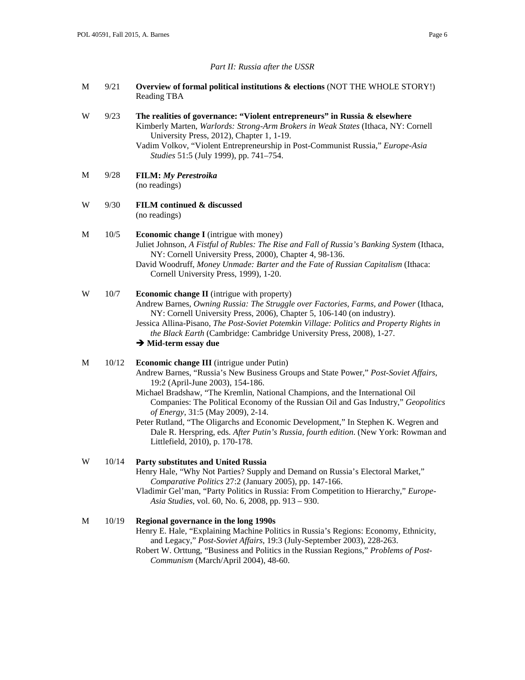### *Part II: Russia after the USSR*

M 9/21 **Overview of formal political institutions & elections** (NOT THE WHOLE STORY!) Reading TBA

## W 9/23 **The realities of governance: "Violent entrepreneurs" in Russia & elsewhere** Kimberly Marten, *Warlords: Strong-Arm Brokers in Weak States* (Ithaca, NY: Cornell University Press, 2012), Chapter 1, 1-19. Vadim Volkov, "Violent Entrepreneurship in Post-Communist Russia," *Europe-Asia Studies* 51:5 (July 1999), pp. 741–754.

- M 9/28 **FILM:** *My Perestroika* (no readings)
- W 9/30 **FILM continued & discussed** (no readings)

### M 10/5 **Economic change I** (intrigue with money) Juliet Johnson, *A Fistful of Rubles: The Rise and Fall of Russia's Banking System* (Ithaca, NY: Cornell University Press, 2000), Chapter 4, 98-136.

David Woodruff, *Money Unmade: Barter and the Fate of Russian Capitalism* (Ithaca: Cornell University Press, 1999), 1-20.

# W 10/7 **Economic change II** (intrigue with property) Andrew Barnes, *Owning Russia: The Struggle over Factories, Farms, and Power* (Ithaca, NY: Cornell University Press, 2006), Chapter 5, 106-140 (on industry).

Jessica Allina-Pisano, *The Post-Soviet Potemkin Village: Politics and Property Rights in the Black Earth* (Cambridge: Cambridge University Press, 2008), 1-27.

## **→ Mid-term essay due**

## M 10/12 **Economic change III** (intrigue under Putin) Andrew Barnes, "Russia's New Business Groups and State Power," *Post-Soviet Affairs*, 19:2 (April-June 2003), 154-186.

- Michael Bradshaw, "The Kremlin, National Champions, and the International Oil Companies: The Political Economy of the Russian Oil and Gas Industry," *Geopolitics of Energy*, 31:5 (May 2009), 2-14.
- Peter Rutland, "The Oligarchs and Economic Development," In Stephen K. Wegren and Dale R. Herspring, eds. *After Putin's Russia, fourth edition*. (New York: Rowman and Littlefield, 2010), p. 170-178.

## W 10/14 **Party substitutes and United Russia**

- Henry Hale, "Why Not Parties? Supply and Demand on Russia's Electoral Market," *Comparative Politics* 27:2 (January 2005), pp. 147-166.
- Vladimir Gel'man, "Party Politics in Russia: From Competition to Hierarchy," *Europe-Asia Studies*, vol. 60, No. 6, 2008, pp. 913 – 930.

## M 10/19 **Regional governance in the long 1990s**

- Henry E. Hale, "Explaining Machine Politics in Russia's Regions: Economy, Ethnicity, and Legacy," *Post-Soviet Affairs*, 19:3 (July-September 2003), 228-263.
- Robert W. Orttung, "Business and Politics in the Russian Regions," *Problems of Post-Communism* (March/April 2004), 48-60.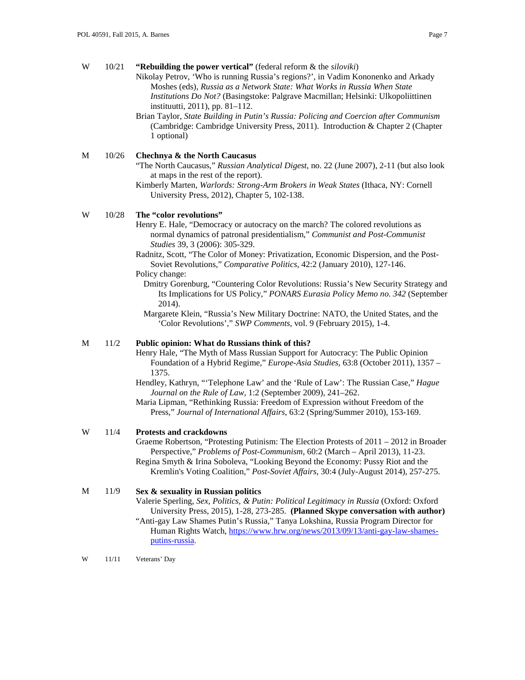| W | 10/21 | "Rebuilding the power vertical" (federal reform $\&$ the siloviki)<br>Nikolay Petrov, 'Who is running Russia's regions?', in Vadim Kononenko and Arkady<br>Moshes (eds), Russia as a Network State: What Works in Russia When State<br>Institutions Do Not? (Basingstoke: Palgrave Macmillan; Helsinki: Ulkopoliittinen<br>instituutti, 2011), pp. 81–112.<br>Brian Taylor, State Building in Putin's Russia: Policing and Coercion after Communism<br>(Cambridge: Cambridge University Press, 2011). Introduction & Chapter 2 (Chapter<br>1 optional)                                                                                                                                                                                                          |
|---|-------|-----------------------------------------------------------------------------------------------------------------------------------------------------------------------------------------------------------------------------------------------------------------------------------------------------------------------------------------------------------------------------------------------------------------------------------------------------------------------------------------------------------------------------------------------------------------------------------------------------------------------------------------------------------------------------------------------------------------------------------------------------------------|
| M | 10/26 | Chechnya & the North Caucasus<br>"The North Caucasus," Russian Analytical Digest, no. 22 (June 2007), 2-11 (but also look<br>at maps in the rest of the report).<br>Kimberly Marten, Warlords: Strong-Arm Brokers in Weak States (Ithaca, NY: Cornell<br>University Press, 2012), Chapter 5, 102-138.                                                                                                                                                                                                                                                                                                                                                                                                                                                           |
| W | 10/28 | The "color revolutions"<br>Henry E. Hale, "Democracy or autocracy on the march? The colored revolutions as<br>normal dynamics of patronal presidentialism," Communist and Post-Communist<br>Studies 39, 3 (2006): 305-329.<br>Radnitz, Scott, "The Color of Money: Privatization, Economic Dispersion, and the Post-<br>Soviet Revolutions," Comparative Politics, 42:2 (January 2010), 127-146.<br>Policy change:<br>Dmitry Gorenburg, "Countering Color Revolutions: Russia's New Security Strategy and<br>Its Implications for US Policy," PONARS Eurasia Policy Memo no. 342 (September<br>2014).<br>Margarete Klein, "Russia's New Military Doctrine: NATO, the United States, and the<br>'Color Revolutions'," SWP Comments, vol. 9 (February 2015), 1-4. |
| M | 11/2  | Public opinion: What do Russians think of this?<br>Henry Hale, "The Myth of Mass Russian Support for Autocracy: The Public Opinion<br>Foundation of a Hybrid Regime," Europe-Asia Studies, 63:8 (October 2011), 1357 -<br>1375.<br>Hendley, Kathryn, "Telephone Law' and the 'Rule of Law': The Russian Case," Hague<br>Journal on the Rule of Law, 1:2 (September 2009), 241-262.<br>Maria Lipman, "Rethinking Russia: Freedom of Expression without Freedom of the<br>Press," Journal of International Affairs, 63:2 (Spring/Summer 2010), 153-169.                                                                                                                                                                                                           |
| W | 11/4  | Protests and crackdowns<br>Graeme Robertson, "Protesting Putinism: The Election Protests of 2011 – 2012 in Broader<br>Perspective," Problems of Post-Communism, 60:2 (March - April 2013), 11-23.<br>Regina Smyth & Irina Soboleva, "Looking Beyond the Economy: Pussy Riot and the<br>Kremlin's Voting Coalition," Post-Soviet Affairs, 30:4 (July-August 2014), 257-275.                                                                                                                                                                                                                                                                                                                                                                                      |
| M | 11/9  | Sex & sexuality in Russian politics<br>Valerie Sperling, Sex, Politics, & Putin: Political Legitimacy in Russia (Oxford: Oxford<br>University Press, 2015), 1-28, 273-285. (Planned Skype conversation with author)<br>"Anti-gay Law Shames Putin's Russia," Tanya Lokshina, Russia Program Director for<br>Human Rights Watch, https://www.hrw.org/news/2013/09/13/anti-gay-law-shames-<br>putins-russia.                                                                                                                                                                                                                                                                                                                                                      |

W 11/11 Veterans' Day